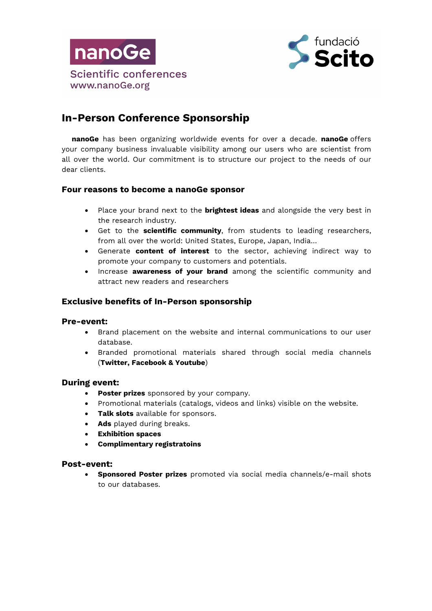



# **In-Person Conference Sponsorship**

**nanoGe** has been organizing worldwide events for over a decade. **nanoGe** offers your company business invaluable visibility among our users who are scientist from all over the world. Our commitment is to structure our project to the needs of our dear clients.

### **Four reasons to become a nanoGe sponsor**

- Place your brand next to the **brightest ideas** and alongside the very best in the research industry.
- Get to the **scientific community**, from students to leading researchers, from all over the world: United States, Europe, Japan, India…
- Generate **content of interest** to the sector, achieving indirect way to promote your company to customers and potentials.
- Increase **awareness of your brand** among the scientific community and attract new readers and researchers

## **Exclusive benefits of In-Person sponsorship**

#### **Pre-event:**

- Brand placement on the website and internal communications to our user database.
- Branded promotional materials shared through social media channels (**Twitter, Facebook & Youtube**)

#### **During event:**

- **Poster prizes** sponsored by your company.
- Promotional materials (catalogs, videos and links) visible on the website.
- **Talk slots** available for sponsors.
- **Ads** played during breaks.
- **Exhibition spaces**
- **Complimentary registratoins**

#### **Post-event:**

• **Sponsored Poster prizes** promoted via social media channels/e-mail shots to our databases.